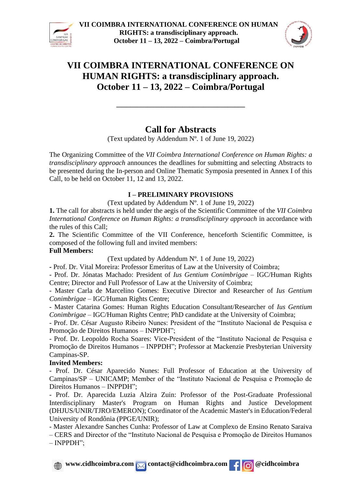



# **Call for Abstracts**

**\_\_\_\_\_\_\_\_\_\_\_\_\_\_\_\_\_\_\_\_\_\_\_\_\_\_\_\_\_\_\_\_\_\_\_\_\_**

(Text updated by Addendum Nº. 1 of June 19, 2022)

The Organizing Committee of the *VII Coimbra International Conference on Human Rights: a transdisciplinary approach* announces the deadlines for submitting and selecting Abstracts to be presented during the In-person and Online Thematic Symposia presented in Annex I of this Call, to be held on October 11, 12 and 13, 2022.

### **I – PRELIMINARY PROVISIONS**

(Text updated by Addendum Nº. 1 of June 19, 2022)

**1.** The call for abstracts is held under the aegis of the Scientific Committee of the *VII Coimbra International Conference on Human Rights: a transdisciplinary approach* in accordance with the rules of this Call;

**2.** The Scientific Committee of the VII Conference, henceforth Scientific Committee, is composed of the following full and invited members:

### **Full Members:**

(Text updated by Addendum Nº. 1 of June 19, 2022)

**-** Prof. Dr. Vital Moreira: Professor Emeritus of Law at the University of Coimbra;

- Prof. Dr. Jónatas Machado: President of *Ius Gentium Conimbrigae* – IGC/Human Rights Centre; Director and Full Professor of Law at the University of Coimbra;

- Master Carla de Marcelino Gomes: Executive Director and Researcher of *Ius Gentium Conimbrigae* – IGC/Human Rights Centre;

- Master Catarina Gomes: Human Rights Education Consultant/Researcher of *Ius Gentium Conimbrigae* – IGC/Human Rights Centre; PhD candidate at the University of Coimbra;

- Prof. Dr. César Augusto Ribeiro Nunes: President of the "Instituto Nacional de Pesquisa e Promoção de Direitos Humanos – INPPDH";

- Prof. Dr. Leopoldo Rocha Soares: Vice-President of the "Instituto Nacional de Pesquisa e Promoção de Direitos Humanos – INPPDH"; Professor at Mackenzie Presbyterian University Campinas-SP.

### **Invited Members:**

- Prof. Dr. César Aparecido Nunes: Full Professor of Education at the University of Campinas/SP – UNICAMP; Member of the "Instituto Nacional de Pesquisa e Promoção de Direitos Humanos – INPPDH";

- Prof. Dr. Aparecida Luzia Alzira Zuin: Professor of the Post-Graduate Professional Interdisciplinary Master's Program on Human Rights and Justice Development (DHJUS/UNIR/TJRO/EMERON); Coordinator of the Academic Master's in Education/Federal University of Rondônia (PPGE/UNIR);

- Master Alexandre Sanches Cunha: Professor of Law at Complexo de Ensino Renato Saraiva

– CERS and Director of the "Instituto Nacional de Pesquisa e Promoção de Direitos Humanos – INPPDH";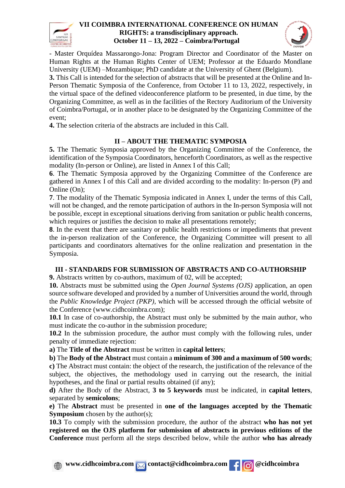



- Master Orquídea Massarongo-Jona: Program Director and Coordinator of the Master on Human Rights at the Human Rights Center of UEM; Professor at the Eduardo Mondlane University (UEM) –Mozambique; PhD candidate at the University of Ghent (Belgium).

**3.** This Call is intended for the selection of abstracts that will be presented at the Online and In-Person Thematic Symposia of the Conference, from October 11 to 13, 2022, respectively, in the virtual space of the defined videoconference platform to be presented, in due time, by the Organizing Committee, as well as in the facilities of the Rectory Auditorium of the University of Coimbra/Portugal, or in another place to be designated by the Organizing Committee of the event;

**4.** The selection criteria of the abstracts are included in this Call.

## **II – ABOUT THE THEMATIC SYMPOSIA**

**5.** The Thematic Symposia approved by the Organizing Committee of the Conference, the identification of the Symposia Coordinators, henceforth Coordinators, as well as the respective modality (In-person or Online), are listed in Annex I of this Call;

**6**. The Thematic Symposia approved by the Organizing Committee of the Conference are gathered in Annex I of this Call and are divided according to the modality: In-person (P) and Online (On);

**7**. The modality of the Thematic Symposia indicated in Annex I, under the terms of this Call, will not be changed, and the remote participation of authors in the In-person Symposia will not be possible, except in exceptional situations deriving from sanitation or public health concerns, which requires or justifies the decision to make all presentations remotely;

**8**. In the event that there are sanitary or public health restrictions or impediments that prevent the in-person realization of the Conference, the Organizing Committee will present to all participants and coordinators alternatives for the online realization and presentation in the Symposia.

### **III - STANDARDS FOR SUBMISSION OF ABSTRACTS AND CO-AUTHORSHIP**

**9.** Abstracts written by co-authors, maximum of 02, will be accepted;

**10.** Abstracts must be submitted using the *Open Journal Systems (OJS)* application, an open source software developed and provided by a number of Universities around the world, through the *Public Knowledge Project (PKP)*, which will be accessed through the official website of the Conference (www.cidhcoimbra.com);

**10.1** In case of co-authorship, the Abstract must only be submitted by the main author, who must indicate the co-author in the submission procedure;

**10.2** In the submission procedure, the author must comply with the following rules, under penalty of immediate rejection:

**a)** The **Title of the Abstract** must be written in **capital letters**;

**b)** The **Body of the Abstract** must contain a **minimum of 300 and a maximum of 500 words**;

**c)** The Abstract must contain: the object of the research, the justification of the relevance of the subject, the objectives, the methodology used in carrying out the research, the initial hypotheses, and the final or partial results obtained (if any);

**d)** After the Body of the Abstract, **3 to 5 keywords** must be indicated, in **capital letters**, separated by **semicolons**;

**e)** The **Abstract** must be presented in **one of the languages accepted by the Thematic Symposium** chosen by the author(s);

**10.3** To comply with the submission procedure, the author of the abstract **who has not yet registered on the OJS platform for submission of abstracts in previous editions of the Conference** must perform all the steps described below, while the author **who has already**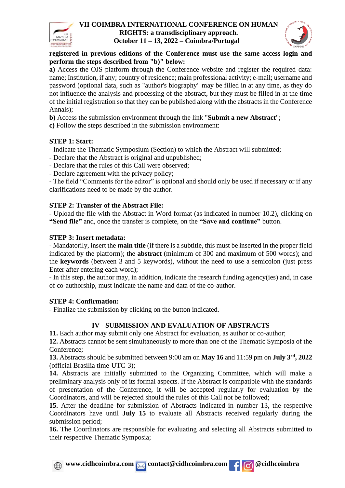



### **registered in previous editions of the Conference must use the same access login and perform the steps described from "b)" below:**

**a)** Access the OJS platform through the Conference website and register the required data: name; Institution, if any; country of residence; main professional activity; e-mail; username and password (optional data, such as "author's biography" may be filled in at any time, as they do not influence the analysis and processing of the abstract, but they must be filled in at the time of the initial registration so that they can be published along with the abstracts in the Conference Annals);

**b)** Access the submission environment through the link "**Submit a new Abstract**";

**c)** Follow the steps described in the submission environment:

## **STEP 1: Start:**

- Indicate the Thematic Symposium (Section) to which the Abstract will submitted;

- Declare that the Abstract is original and unpublished;
- Declare that the rules of this Call were observed;
- Declare agreement with the privacy policy;

- The field "Comments for the editor" is optional and should only be used if necessary or if any clarifications need to be made by the author.

## **STEP 2: Transfer of the Abstract File:**

- Upload the file with the Abstract in Word format (as indicated in number 10.2), clicking on **"Send file"** and, once the transfer is complete, on the **"Save and continue"** button.

## **STEP 3: Insert metadata:**

- Mandatorily, insert the **main title** (if there is a subtitle, this must be inserted in the proper field indicated by the platform); the **abstract** (minimum of 300 and maximum of 500 words); and the **keywords** (between 3 and 5 keywords), without the need to use a semicolon (just press Enter after entering each word);

- In this step, the author may, in addition, indicate the research funding agency(ies) and, in case of co-authorship, must indicate the name and data of the co-author.

### **STEP 4: Confirmation:**

- Finalize the submission by clicking on the button indicated.

## **IV - SUBMISSION AND EVALUATION OF ABSTRACTS**

**11.** Each author may submit only one Abstract for evaluation, as author or co-author;

**12.** Abstracts cannot be sent simultaneously to more than one of the Thematic Symposia of the Conference;

**13.** Abstracts should be submitted between 9:00 am on **May 16** and 11:59 pm on **July 3 rd, 2022** (official Brasília time-UTC-3);

**14.** Abstracts are initially submitted to the Organizing Committee, which will make a preliminary analysis only of its formal aspects. If the Abstract is compatible with the standards of presentation of the Conference, it will be accepted regularly for evaluation by the Coordinators, and will be rejected should the rules of this Call not be followed;

**15.** After the deadline for submission of Abstracts indicated in number 13, the respective Coordinators have until **July 15** to evaluate all Abstracts received regularly during the submission period;

**16.** The Coordinators are responsible for evaluating and selecting all Abstracts submitted to their respective Thematic Symposia;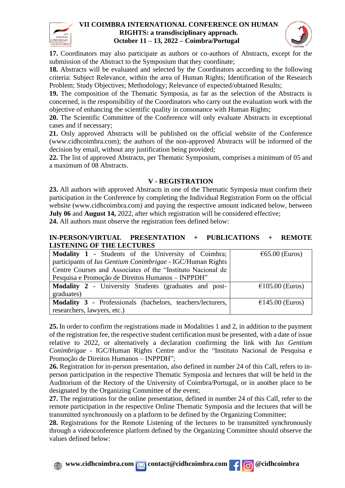



**17.** Coordinators may also participate as authors or co-authors of Abstracts, except for the submission of the Abstract to the Symposium that they coordinate;

**18.** Abstracts will be evaluated and selected by the Coordinators according to the following criteria: Subject Relevance, within the area of Human Rights; Identification of the Research Problem; Study Objectives; Methodology; Relevance of expected/obtained Results;

**19.** The composition of the Thematic Symposia, as far as the selection of the Abstracts is concerned, is the responsibility of the Coordinators who carry out the evaluation work with the objective of enhancing the scientific quality in consonance with Human Rights;

**20.** The Scientific Committee of the Conference will only evaluate Abstracts in exceptional cases and if necessary;

**21.** Only approved Abstracts will be published on the official website of the Conference (www.cidhcoimbra.com); the authors of the non-approved Abstracts will be informed of the decision by email, without any justification being provided;

**22.** The list of approved Abstracts, per Thematic Symposium, comprises a minimum of 05 and a maximum of 08 Abstracts.

### **V - REGISTRATION**

**23.** All authors with approved Abstracts in one of the Thematic Symposia must confirm their participation in the Conference by completing the Individual Registration Form on the official website [\(www.cidhcoimbra.com\)](http://www.cidhcoimbra.com/) and paying the respective amount indicated below, between **July 06** and **August 14,** 2022, after which registration will be considered effective; **24.** All authors must observe the registration fees defined below:

#### **IN-PERSON/VIRTUAL PRESENTATION + PUBLICATIONS + REMOTE LISTENING OF THE LECTURES**

| <b>Modality 1 - Students of the University of Coimbra;</b>        | $\epsilon$ 65.00 (Euros)  |
|-------------------------------------------------------------------|---------------------------|
| participants of Ius Gentium Conimbrigae - IGC/Human Rights        |                           |
| Centre Courses and Associates of the "Instituto Nacional de       |                           |
| Pesquisa e Promoção de Direitos Humanos - INPPDH"                 |                           |
| Modality 2 - University Students (graduates and post-             | $\epsilon$ 105.00 (Euros) |
| graduates)                                                        |                           |
| <b>Modality 3 - Professionals (bachelors, teachers/lecturers,</b> | $\epsilon$ 145.00 (Euros) |
| researchers, lawyers, etc.)                                       |                           |

**25.** In order to confirm the registrations made in Modalities 1 and 2, in addition to the payment of the registration fee, the respective student certification must be presented, with a date of issue relative to 2022, or alternatively a declaration confirming the link with *Ius Gentium Conimbrigae* - IGC/Human Rights Centre and/or the "Instituto Nacional de Pesquisa e Promoção de Direitos Humanos – INPPDH";

**26.** Registration for in-person presentation, also defined in number 24 of this Call, refers to inperson participation in the respective Thematic Symposia and lectures that will be held in the Auditorium of the Rectory of the University of Coimbra/Portugal, or in another place to be designated by the Organizing Committee of the event;

**27.** The registrations for the online presentation, defined in number 24 of this Call, refer to the remote participation in the respective Online Thematic Symposia and the lectures that will be transmitted synchronously on a platform to be defined by the Organizing Committee;

**28.** Registrations for the Remote Listening of the lectures to be transmitted synchronously through a videoconference platform defined by the Organizing Committee should observe the values defined below: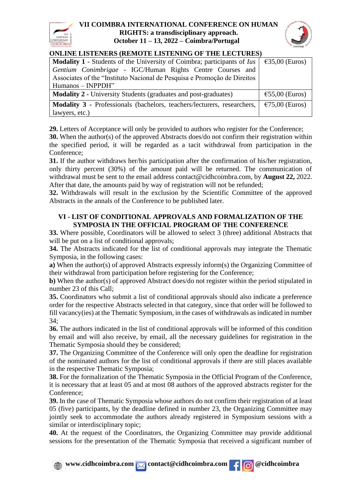



## **ONLINE LISTENERS (REMOTE LISTENING OF THE LECTURES)**

| ordin di bio ferno (nemo fero fero ferno of the bect cheo                      |                          |  |
|--------------------------------------------------------------------------------|--------------------------|--|
| <b>Modality 1 - Students of the University of Coimbra; participants of Ius</b> | $\epsilon$ 35,00 (Euros) |  |
| Gentium Conimbrigae - IGC/Human Rights Centre Courses and                      |                          |  |
| Associates of the "Instituto Nacional de Pesquisa e Promoção de Direitos"      |                          |  |
| $Humanos-NPPDH"$                                                               |                          |  |
| <b>Modality 2 - University Students (graduates and post-graduates)</b>         | $\epsilon$ 55,00 (Euros) |  |
| Modality 3 - Professionals (bachelors, teachers/lecturers, researchers,        | $\epsilon$ 75,00 (Euros) |  |
| lawyers, etc.)                                                                 |                          |  |

**29.** Letters of Acceptance will only be provided to authors who register for the Conference;

**30.** When the author(s) of the approved Abstracts does/do not confirm their registration within the specified period, it will be regarded as a tacit withdrawal from participation in the Conference;

**31.** If the author withdraws her/his participation after the confirmation of his/her registration, only thirty percent (30%) of the amount paid will be returned. The communication of withdrawal must be sent to the email address contact@cidhcoimbra.com, by **August 22,** 2022. After that date, the amounts paid by way of registration will not be refunded;

**32.** Withdrawals will result in the exclusion by the Scientific Committee of the approved Abstracts in the annals of the Conference to be published later.

### **VI - LIST OF CONDITIONAL APPROVALS AND FORMALIZATION OF THE SYMPOSIA IN THE OFFICIAL PROGRAM OF THE CONFERENCE**

**33.** Where possible, Coordinators will be allowed to select 3 (three) additional Abstracts that will be put on a list of conditional approvals;

**34.** The Abstracts indicated for the list of conditional approvals may integrate the Thematic Symposia, in the following cases:

**a)** When the author(s) of approved Abstracts expressly inform(s) the Organizing Committee of their withdrawal from participation before registering for the Conference;

**b)** When the author(s) of approved Abstract does/do not register within the period stipulated in number 23 of this Call;

**35.** Coordinators who submit a list of conditional approvals should also indicate a preference order for the respective Abstracts selected in that category, since that order will be followed to fill vacancy(ies) at the Thematic Symposium, in the cases of withdrawals as indicated in number 34;

**36.** The authors indicated in the list of conditional approvals will be informed of this condition by email and will also receive, by email, all the necessary guidelines for registration in the Thematic Symposia should they be considered;

**37.** The Organizing Committee of the Conference will only open the deadline for registration of the nominated authors for the list of conditional approvals if there are still places available in the respective Thematic Symposia;

**38.** For the formalization of the Thematic Symposia in the Official Program of the Conference, it is necessary that at least 05 and at most 08 authors of the approved abstracts register for the Conference;

**39.** In the case of Thematic Symposia whose authors do not confirm their registration of at least 05 (five) participants, by the deadline defined in number 23, the Organizing Committee may jointly seek to accommodate the authors already registered in Symposium sessions with a similar or interdisciplinary topic;

**40.** At the request of the Coordinators, the Organizing Committee may provide additional sessions for the presentation of the Thematic Symposia that received a significant number of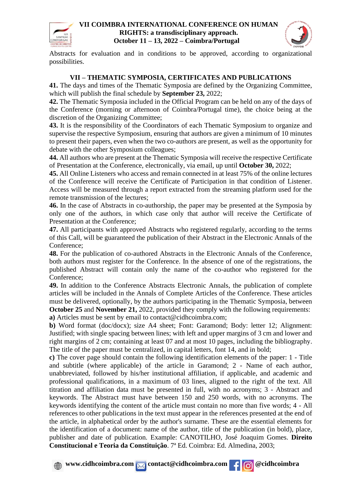



Abstracts for evaluation and in conditions to be approved, according to organizational possibilities.

## **VII – THEMATIC SYMPOSIA, CERTIFICATES AND PUBLICATIONS**

**41.** The days and times of the Thematic Symposia are defined by the Organizing Committee, which will publish the final schedule by **September 23,** 2022;

**42.** The Thematic Symposia included in the Official Program can be held on any of the days of the Conference (morning or afternoon of Coimbra/Portugal time), the choice being at the discretion of the Organizing Committee;

**43.** It is the responsibility of the Coordinators of each Thematic Symposium to organize and supervise the respective Symposium, ensuring that authors are given a minimum of 10 minutes to present their papers, even when the two co-authors are present, as well as the opportunity for debate with the other Symposium colleagues;

**44.** All authors who are present at the Thematic Symposia will receive the respective Certificate of Presentation at the Conference, electronically, via email, up until **October 30,** 2022;

**45.** All Online Listeners who access and remain connected in at least 75% of the online lectures of the Conference will receive the Certificate of Participation in that condition of Listener. Access will be measured through a report extracted from the streaming platform used for the remote transmission of the lectures;

**46.** In the case of Abstracts in co-authorship, the paper may be presented at the Symposia by only one of the authors, in which case only that author will receive the Certificate of Presentation at the Conference;

**47.** All participants with approved Abstracts who registered regularly, according to the terms of this Call, will be guaranteed the publication of their Abstract in the Electronic Annals of the Conference;

**48.** For the publication of co-authored Abstracts in the Electronic Annals of the Conference, both authors must register for the Conference. In the absence of one of the registrations, the published Abstract will contain only the name of the co-author who registered for the Conference;

**49.** In addition to the Conference Abstracts Electronic Annals, the publication of complete articles will be included in the Annals of Complete Articles of the Conference. These articles must be delivered, optionally, by the authors participating in the Thematic Symposia, between **October 25 and <b>November** 21, 2022, provided they comply with the following requirements: **a)** Articles must be sent by email to contact@cidhcoimbra.com;

**b)** Word format (doc/docx); size A4 sheet; Font: Garamond; Body: letter 12; Alignment: Justified; with single spacing between lines; with left and upper margins of 3 cm and lower and right margins of 2 cm; containing at least 07 and at most 10 pages, including the bibliography. The title of the paper must be centralized, in capital letters, font 14, and in bold;

**c)** The cover page should contain the following identification elements of the paper: 1 - Title and subtitle (where applicable) of the article in Garamond; 2 - Name of each author, unabbreviated, followed by his/her institutional affiliation, if applicable, and academic and professional qualifications, in a maximum of 03 lines, aligned to the right of the text. All titration and affiliation data must be presented in full, with no acronyms; 3 - Abstract and keywords. The Abstract must have between 150 and 250 words, with no acronyms. The keywords identifying the content of the article must contain no more than five words; 4 - All references to other publications in the text must appear in the references presented at the end of the article, in alphabetical order by the author's surname. These are the essential elements for the identification of a document: name of the author, title of the publication (in bold), place, publisher and date of publication. Example: CANOTILHO, José Joaquim Gomes. **Direito Constitucional e Teoria da Constituição**. 7ª Ed. Coimbra: Ed. Almedina, 2003;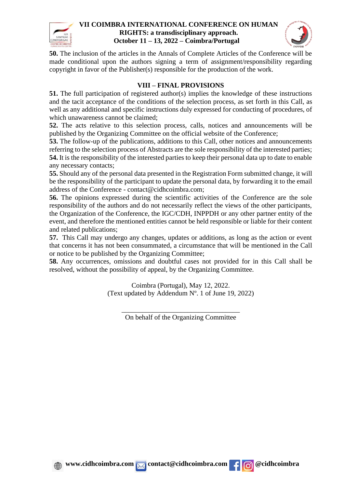



**50.** The inclusion of the articles in the Annals of Complete Articles of the Conference will be made conditional upon the authors signing a term of assignment/responsibility regarding copyright in favor of the Publisher(s) responsible for the production of the work.

### **VIII – FINAL PROVISIONS**

**51.** The full participation of registered author(s) implies the knowledge of these instructions and the tacit acceptance of the conditions of the selection process, as set forth in this Call, as well as any additional and specific instructions duly expressed for conducting of procedures, of which unawareness cannot be claimed;

**52.** The acts relative to this selection process, calls, notices and announcements will be published by the Organizing Committee on the official website of the Conference;

**53.** The follow-up of the publications, additions to this Call, other notices and announcements referring to the selection process of Abstracts are the sole responsibility of the interested parties; **54.** It is the responsibility of the interested parties to keep their personal data up to date to enable any necessary contacts;

**55.** Should any of the personal data presented in the Registration Form submitted change, it will be the responsibility of the participant to update the personal data, by forwarding it to the email address of the Conference - contact@cidhcoimbra.com;

**56.** The opinions expressed during the scientific activities of the Conference are the sole responsibility of the authors and do not necessarily reflect the views of the other participants, the Organization of the Conference, the IGC/CDH, INPPDH or any other partner entity of the event, and therefore the mentioned entities cannot be held responsible or liable for their content and related publications;

**57.** This Call may undergo any changes, updates or additions, as long as the action or event that concerns it has not been consummated, a circumstance that will be mentioned in the Call or notice to be published by the Organizing Committee;

**58.** Any occurrences, omissions and doubtful cases not provided for in this Call shall be resolved, without the possibility of appeal, by the Organizing Committee.

> Coimbra (Portugal), May 12, 2022. (Text updated by Addendum Nº. 1 of June 19, 2022)

> > \_\_\_\_\_\_\_\_\_\_\_\_\_\_\_\_\_\_\_\_\_\_\_\_\_\_\_\_\_\_\_\_\_\_ On behalf of the Organizing Committee



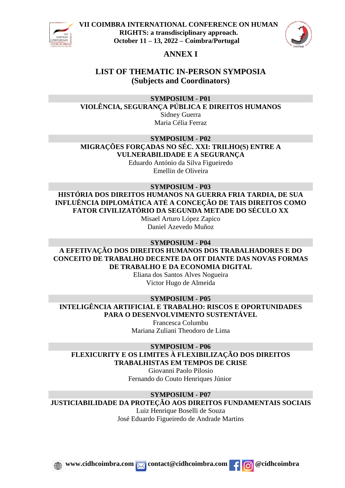



## **ANNEX I**

## **LIST OF THEMATIC IN-PERSON SYMPOSIA (Subjects and Coordinators)**

**SYMPOSIUM - P01**

**VIOLÊNCIA, SEGURANÇA PÚBLICA E DIREITOS HUMANOS** Sidney Guerra

Maria Célia Ferraz

**SYMPOSIUM - P02 MIGRAÇÕES FORÇADAS NO SÉC. XXI: TRILHO(S) ENTRE A VULNERABILIDADE E A SEGURANÇA**

Eduardo António da Silva Figueiredo Emellin de Oliveira

## **SYMPOSIUM - P03**

**HISTÓRIA DOS DIREITOS HUMANOS NA GUERRA FRIA TARDIA, DE SUA INFLUÊNCIA DIPLOMÁTICA ATÉ A CONCEÇÃO DE TAIS DIREITOS COMO FATOR CIVILIZATÓRIO DA SEGUNDA METADE DO SÉCULO XX**

Misael Arturo López Zapico Daniel Azevedo Muñoz

**SYMPOSIUM - P04 A EFETIVAÇÃO DOS DIREITOS HUMANOS DOS TRABALHADORES E DO CONCEITO DE TRABALHO DECENTE DA OIT DIANTE DAS NOVAS FORMAS DE TRABALHO E DA ECONOMIA DIGITAL**

Eliana dos Santos Alves Nogueira Victor Hugo de Almeida

**SYMPOSIUM - P05 INTELIGÊNCIA ARTIFICIAL E TRABALHO: RISCOS E OPORTUNIDADES PARA O DESENVOLVIMENTO SUSTENTÁVEL** Francesca Columbu

Mariana Zuliani Theodoro de Lima

**SYMPOSIUM - P06 FLEXICURITY E OS LIMITES À FLEXIBILIZAÇÃO DOS DIREITOS TRABALHISTAS EM TEMPOS DE CRISE**

Giovanni Paolo Pilosio Fernando do Couto Henriques Júnior

## **SYMPOSIUM - P07**

**JUSTICIABILIDADE DA PROTEÇÃO AOS DIREITOS FUNDAMENTAIS SOCIAIS**

Luiz Henrique Boselli de Souza José Eduardo Figueiredo de Andrade Martins

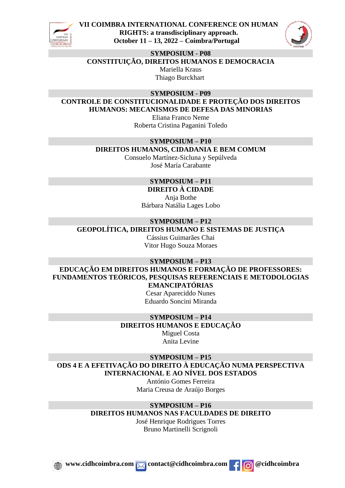



**SYMPOSIUM - P08**

**CONSTITUIÇÃO, DIREITOS HUMANOS E DEMOCRACIA**

Mariella Kraus Thiago Burckhart

**SYMPOSIUM - P09**

**CONTROLE DE CONSTITUCIONALIDADE E PROTEÇÃO DOS DIREITOS HUMANOS: MECANISMOS DE DEFESA DAS MINORIAS**

Eliana Franco Neme Roberta Cristina Paganini Toledo

## **SYMPOSIUM – P10 DIREITOS HUMANOS, CIDADANIA E BEM COMUM**

Consuelo Martínez-Sicluna y Sepúlveda José María Carabante

#### **SYMPOSIUM – P11 DIREITO À CIDADE**

Anja Bothe Bárbara Natália Lages Lobo

## **SYMPOSIUM – P12**

**GEOPOLÍTICA, DIREITOS HUMANO E SISTEMAS DE JUSTIÇA**

Cássius Guimarães Chai Vitor Hugo Souza Moraes

## **SYMPOSIUM – P13**

**EDUCAÇÃO EM DIREITOS HUMANOS E FORMAÇÃO DE PROFESSORES: FUNDAMENTOS TEÓRICOS, PESQUISAS REFERENCIAIS E METODOLOGIAS EMANCIPATÓRIAS**

Cesar Apareciddo Nunes Eduardo Soncini Miranda

#### **SYMPOSIUM – P14 DIREITOS HUMANOS E EDUCAÇÃO**

Miguel Costa Anita Levine

**SYMPOSIUM – P15 ODS 4 E A EFETIVAÇÃO DO DIREITO À EDUCAÇÃO NUMA PERSPECTIVA INTERNACIONAL E AO NÍVEL DOS ESTADOS**

António Gomes Ferreira Maria Creusa de Araújo Borges

## **SYMPOSIUM – P16**

**DIREITOS HUMANOS NAS FACULDADES DE DIREITO**

José Henrique Rodrigues Torres Bruno Martinelli Scrignoli

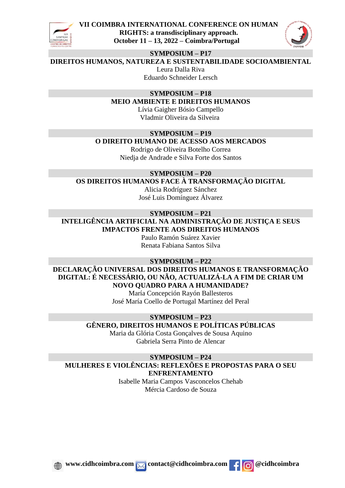



#### **SYMPOSIUM – P17**

**DIREITOS HUMANOS, NATUREZA E SUSTENTABILIDADE SOCIOAMBIENTAL**

Leura Dalla Riva Eduardo Schneider Lersch

#### **SYMPOSIUM – P18**

**MEIO AMBIENTE E DIREITOS HUMANOS**

Lívia Gaigher Bósio Campello Vladmir Oliveira da Silveira

## **SYMPOSIUM – P19**

**O DIREITO HUMANO DE ACESSO AOS MERCADOS**

Rodrigo de Oliveira Botelho Correa Niedja de Andrade e Silva Forte dos Santos

**SYMPOSIUM – P20 OS DIREITOS HUMANOS FACE À TRANSFORMAÇÃO DIGITAL** Alicia Rodríguez Sánchez José Luis Domínguez Álvarez

#### **SYMPOSIUM – P21**

**INTELIGÊNCIA ARTIFICIAL NA ADMINISTRAÇÃO DE JUSTIÇA E SEUS IMPACTOS FRENTE AOS DIREITOS HUMANOS**

> Paulo Ramón Suárez Xavier Renata Fabiana Santos Silva

#### **SYMPOSIUM – P22**

**DECLARAÇÃO UNIVERSAL DOS DIREITOS HUMANOS E TRANSFORMAÇÃO DIGITAL: É NECESSÁRIO, OU NÃO, ACTUALIZÁ-LA A FIM DE CRIAR UM NOVO QUADRO PARA A HUMANIDADE?**

María Concepción Rayón Ballesteros José María Coello de Portugal Martínez del Peral

#### **SYMPOSIUM – P23 GÊNERO, DIREITOS HUMANOS E POLÍTICAS PÚBLICAS**

Maria da Glória Costa Gonçalves de Sousa Aquino Gabriela Serra Pinto de Alencar

**SYMPOSIUM – P24 MULHERES E VIOLÊNCIAS: REFLEXÕES E PROPOSTAS PARA O SEU ENFRENTAMENTO**

Isabelle Maria Campos Vasconcelos Chehab Mércia Cardoso de Souza

*www.cidhcoimbra.com* <u>*M* contact@cidhcoimbra.com **f @**cidhcoimbra</u>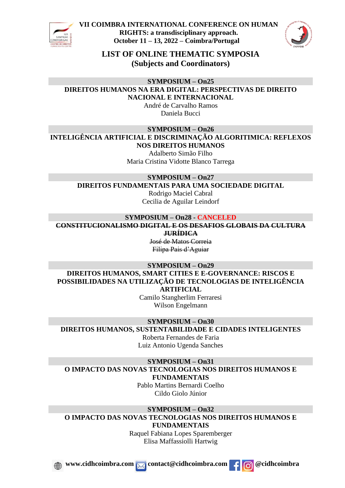



**LIST OF ONLINE THEMATIC SYMPOSIA (Subjects and Coordinators)**

**SYMPOSIUM – On25**

**DIREITOS HUMANOS NA ERA DIGITAL: PERSPECTIVAS DE DIREITO NACIONAL E INTERNACIONAL**

> André de Carvalho Ramos Daniela Bucci

**SYMPOSIUM – On26**

**INTELIGÊNCIA ARTIFICIAL E DISCRIMINAÇÃO ALGORITIMICA: REFLEXOS NOS DIREITOS HUMANOS**

Adalberto Simão Filho Maria Cristina Vidotte Blanco Tarrega

**SYMPOSIUM – On27**

**DIREITOS FUNDAMENTAIS PARA UMA SOCIEDADE DIGITAL**

Rodrigo Maciel Cabral Cecilia de Aguilar Leindorf

#### **SYMPOSIUM – On28 - CANCELED CONSTITUCIONALISMO DIGITAL E OS DESAFIOS GLOBAIS DA CULTURA JURÍDICA**

José de Matos Correia Filipa Pais d'Aguiar

**SYMPOSIUM – On29**

**DIREITOS HUMANOS, SMART CITIES E E-GOVERNANCE: RISCOS E POSSIBILIDADES NA UTILIZAÇÃO DE TECNOLOGIAS DE INTELIGÊNCIA ARTIFICIAL**

> Camilo Stangherlim Ferraresi Wilson Engelmann

**SYMPOSIUM – On30 DIREITOS HUMANOS, SUSTENTABILIDADE E CIDADES INTELIGENTES**

Roberta Fernandes de Faria Luiz Antonio Ugenda Sanches

**SYMPOSIUM – On31 O IMPACTO DAS NOVAS TECNOLOGIAS NOS DIREITOS HUMANOS E FUNDAMENTAIS**

Pablo Martins Bernardi Coelho Cildo Giolo Júnior

**SYMPOSIUM – On32 O IMPACTO DAS NOVAS TECNOLOGIAS NOS DIREITOS HUMANOS E FUNDAMENTAIS**

> Raquel Fabiana Lopes Sparemberger Elisa Maffassiolli Hartwig

*<u><b> x www.cidhcoimbra.com* contact@cidhcoimbra.com **c c c c c c**</u>

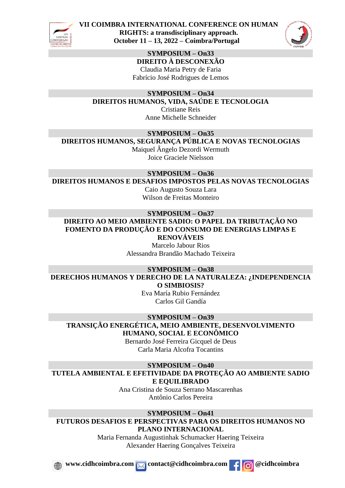



**SYMPOSIUM – On33 DIREITO À DESCONEXÃO** Claudia Maria Petry de Faria Fabrício José Rodrigues de Lemos

**SYMPOSIUM – On34 DIREITOS HUMANOS, VIDA, SAÚDE E TECNOLOGIA** Cristiane Reis Anne Michelle Schneider

**SYMPOSIUM – On35**

**DIREITOS HUMANOS, SEGURANÇA PÚBLICA E NOVAS TECNOLOGIAS**

Maiquel Ângelo Dezordi Wermuth Joice Graciele Nielsson

**SYMPOSIUM – On36**

**DIREITOS HUMANOS E DESAFIOS IMPOSTOS PELAS NOVAS TECNOLOGIAS** Caio Augusto Souza Lara

Wilson de Freitas Monteiro

**SYMPOSIUM – On37 DIREITO AO MEIO AMBIENTE SADIO: O PAPEL DA TRIBUTAÇÃO NO FOMENTO DA PRODUÇÃO E DO CONSUMO DE ENERGIAS LIMPAS E**

**RENOVÁVEIS** Marcelo Jabour Rios Alessandra Brandão Machado Teixeira

**SYMPOSIUM – On38**

**DERECHOS HUMANOS Y DERECHO DE LA NATURALEZA: ¿INDEPENDENCIA O SIMBIOSIS?**

Eva María Rubio Fernández Carlos Gil Gandía

**SYMPOSIUM – On39 TRANSIÇÃO ENERGÉTICA, MEIO AMBIENTE, DESENVOLVIMENTO HUMANO, SOCIAL E ECONÔMICO**

Bernardo José Ferreira Gicquel de Deus Carla Maria Alcofra Tocantins

**SYMPOSIUM – On40 TUTELA AMBIENTAL E EFETIVIDADE DA PROTEÇÃO AO AMBIENTE SADIO E EQUILIBRADO**

> Ana Cristina de Souza Serrano Mascarenhas Antônio Carlos Pereira

**SYMPOSIUM – On41 FUTUROS DESAFIOS E PERSPECTIVAS PARA OS DIREITOS HUMANOS NO PLANO INTERNACIONAL**

> Maria Fernanda Augustinhak Schumacker Haering Teixeira Alexander Haering Gonçalves Teixeira





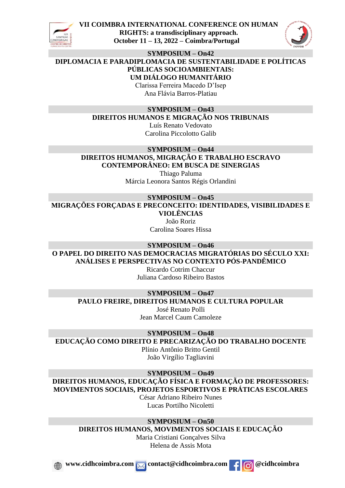



**SYMPOSIUM – On42**

**DIPLOMACIA E PARADIPLOMACIA DE SUSTENTABILIDADE E POLÍTICAS PÚBLICAS SOCIOAMBIENTAIS: UM DIÁLOGO HUMANITÁRIO**

> Clarissa Ferreira Macedo D'Isep Ana Flávia Barros-Platiau

### **SYMPOSIUM – On43**

**DIREITOS HUMANOS E MIGRAÇÃO NOS TRIBUNAIS**

Luís Renato Vedovato Carolina Piccolotto Galib

## **SYMPOSIUM – On44**

**DIREITOS HUMANOS, MIGRAÇÃO E TRABALHO ESCRAVO CONTEMPORÂNEO: EM BUSCA DE SINERGIAS**

> Thiago Paluma Márcia Leonora Santos Régis Orlandini

**SYMPOSIUM – On45 MIGRAÇÕES FORÇADAS E PRECONCEITO: IDENTIDADES, VISIBILIDADES E VIOLÊNCIAS**

João Roriz Carolina Soares Hissa

**SYMPOSIUM – On46 O PAPEL DO DIREITO NAS DEMOCRACIAS MIGRATÓRIAS DO SÉCULO XXI: ANÁLISES E PERSPECTIVAS NO CONTEXTO PÓS-PANDÊMICO**

Ricardo Cotrim Chaccur Juliana Cardoso Ribeiro Bastos

**SYMPOSIUM – On47 PAULO FREIRE, DIREITOS HUMANOS E CULTURA POPULAR**

José Renato Polli Jean Marcel Caum Camoleze

**SYMPOSIUM – On48 EDUCAÇÃO COMO DIREITO E PRECARIZAÇÃO DO TRABALHO DOCENTE**

Plínio Antônio Britto Gentil João Virgílio Tagliavini

**SYMPOSIUM – On49**

**DIREITOS HUMANOS, EDUCAÇÃO FÍSICA E FORMAÇÃO DE PROFESSORES: MOVIMENTOS SOCIAIS, PROJETOS ESPORTIVOS E PRÁTICAS ESCOLARES**

César Adriano Ribeiro Nunes Lucas Portilho Nicoletti

**SYMPOSIUM – On50 DIREITOS HUMANOS, MOVIMENTOS SOCIAIS E EDUCAÇÃO**

> Maria Cristiani Gonçalves Silva Helena de Assis Mota





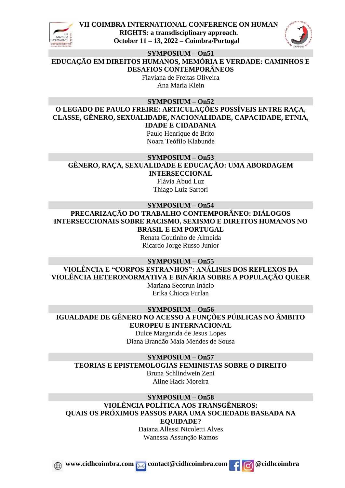



**SYMPOSIUM – On51**

**EDUCAÇÃO EM DIREITOS HUMANOS, MEMÓRIA E VERDADE: CAMINHOS E DESAFIOS CONTEMPORÂNEOS**

> Flaviana de Freitas Oliveira Ana Maria Klein

**SYMPOSIUM – On52**

**O LEGADO DE PAULO FREIRE: ARTICULAÇÕES POSSÍVEIS ENTRE RAÇA, CLASSE, GÊNERO, SEXUALIDADE, NACIONALIDADE, CAPACIDADE, ETNIA, IDADE E CIDADANIA**

Paulo Henrique de Brito Noara Teófilo Klabunde

#### **SYMPOSIUM – On53 GÊNERO, RAÇA, SEXUALIDADE E EDUCAÇÃO: UMA ABORDAGEM INTERSECCIONAL**

Flávia Abud Luz Thiago Luiz Sartori

### **SYMPOSIUM – On54**

**PRECARIZAÇÃO DO TRABALHO CONTEMPORÂNEO: DIÁLOGOS INTERSECCIONAIS SOBRE RACISMO, SEXISMO E DIREITOS HUMANOS NO BRASIL E EM PORTUGAL**

Renata Coutinho de Almeida Ricardo Jorge Russo Junior

#### **SYMPOSIUM – On55**

**VIOLÊNCIA E "CORPOS ESTRANHOS": ANÁLISES DOS REFLEXOS DA VIOLÊNCIA HETERONORMATIVA E BINÁRIA SOBRE A POPULAÇÃO QUEER**

Mariana Secorun Inácio Erika Chioca Furlan

**SYMPOSIUM – On56**

**IGUALDADE DE GÊNERO NO ACESSO A FUNÇÕES PÚBLICAS NO ÂMBITO EUROPEU E INTERNACIONAL**

Dulce Margarida de Jesus Lopes Diana Brandão Maia Mendes de Sousa

**SYMPOSIUM – On57**

**TEORIAS E EPISTEMOLOGIAS FEMINISTAS SOBRE O DIREITO**

Bruna Schlindwein Zeni Aline Hack Moreira

**SYMPOSIUM – On58 VIOLÊNCIA POLÍTICA AOS TRANSGÊNEROS: QUAIS OS PRÓXIMOS PASSOS PARA UMA SOCIEDADE BASEADA NA EQUIDADE?** Daiana Allessi Nicoletti Alves

Wanessa Assunção Ramos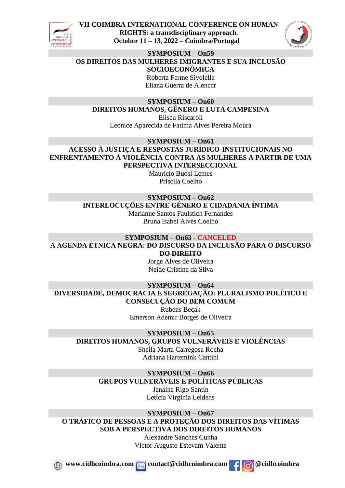



## **SYMPOSIUM – On59**

**OS DIREITOS DAS MULHERES IMIGRANTES E SUA INCLUSÃO SOCIOECONÔMICA**

Roberta Ferme Sivolella Eliana Guerra de Alencar

#### **SYMPOSIUM – On60 DIREITOS HUMANOS, GÊNERO E LUTA CAMPESINA**

Eliseu Riscaroli Leonice Aparecida de Fatima Alves Pereira Moura

**SYMPOSIUM – On61 ACESSO À JUSTIÇA E RESPOSTAS JURÍDICO-INSTITUCIONAIS NO ENFRENTAMENTO À VIOLÊNCIA CONTRA AS MULHERES A PARTIR DE UMA PERSPECTIVA INTERSECCIONAL**

Maurício Buosi Lemes Priscila Coelho

#### **SYMPOSIUM – On62 INTERLOCUÇÕES ENTRE GÉNERO E CIDADANIA ÍNTIMA**

Marianne Santos Faulstich Fernandes Bruna Isabel Alves Coelho

# **SYMPOSIUM – On63 - CANCELED A AGENDA ÉTNICA NEGRA: DO DISCURSO DA INCLUSÃO PARA O DISCURSO**

**DO DIREITO** Jorge Alves de Oliveira

Neide Cristina da Silva

## **SYMPOSIUM – On64 DIVERSIDADE, DEMOCRACIA E SEGREGAÇÃO: PLURALISMO POLÍTICO E CONSECUÇÃO DO BEM COMUM**

Rubens Beçak Emerson Ademir Borges de Oliveira

### **SYMPOSIUM – On65**

**DIREITOS HUMANOS, GRUPOS VULNERÁVEIS E VIOLÊNCIAS**

Sheila Marta Carregosa Rocha Adriana Hartemink Cantini

## **SYMPOSIUM – On66**

## **GRUPOS VULNERÁVEIS E POLÍTICAS PÚBLICAS**

Janaína Rigo Santin Letícia Virginia Leidens

**SYMPOSIUM – On67 O TRÁFICO DE PESSOAS E A PROTEÇÃO DOS DIREITOS DAS VÍTIMAS SOB A PERSPECTIVA DOS DIREITOS HUMANOS**

Alexandre Sanches Cunha Victor Augusto Estevam Valente

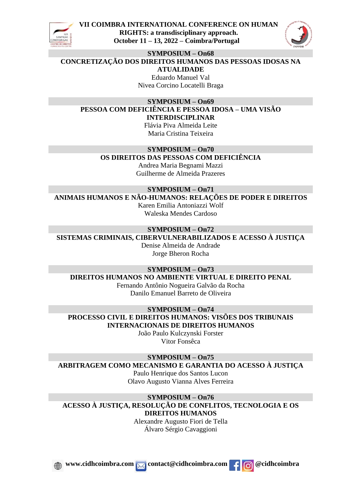



#### **SYMPOSIUM – On68**

**CONCRETIZAÇÃO DOS DIREITOS HUMANOS DAS PESSOAS IDOSAS NA ATUALIDADE**

> Eduardo Manuel Val Nivea Corcino Locatelli Braga

#### **SYMPOSIUM – On69 PESSOA COM DEFICIÊNCIA E PESSOA IDOSA – UMA VISÃO INTERDISCIPLINAR**

Flávia Piva Almeida Leite Maria Cristina Teixeira

**SYMPOSIUM – On70**

## **OS DIREITOS DAS PESSOAS COM DEFICIÊNCIA**

Andrea Maria Begnami Mazzi Guilherme de Almeida Prazeres

**SYMPOSIUM – On71**

**ANIMAIS HUMANOS E NÃO-HUMANOS: RELAÇÕES DE PODER E DIREITOS**

Karen Emilia Antoniazzi Wolf Waleska Mendes Cardoso

## **SYMPOSIUM – On72**

**SISTEMAS CRIMINAIS, CIBERVULNERABILIZADOS E ACESSO À JUSTIÇA** Denise Almeida de Andrade

Jorge Bheron Rocha

### **SYMPOSIUM – On73**

**DIREITOS HUMANOS NO AMBIENTE VIRTUAL E DIREITO PENAL** Fernando Antônio Nogueira Galvão da Rocha Danilo Emanuel Barreto de Oliveira

**SYMPOSIUM – On74 PROCESSO CIVIL E DIREITOS HUMANOS: VISÕES DOS TRIBUNAIS INTERNACIONAIS DE DIREITOS HUMANOS**

João Paulo Kulczynski Forster Vitor Fonsêca

**SYMPOSIUM – On75**

**ARBITRAGEM COMO MECANISMO E GARANTIA DO ACESSO À JUSTIÇA**

Paulo Henrique dos Santos Lucon Olavo Augusto Vianna Alves Ferreira

**SYMPOSIUM – On76 ACESSO À JUSTIÇA, RESOLUÇÃO DE CONFLITOS, TECNOLOGIA E OS DIREITOS HUMANOS**

Alexandre Augusto Fiori de Tella Álvaro Sérgio Cavaggioni

*www.cidhcoimbra.com* <u>*M* contact@cidhcoimbra.com **f @**cidhcoimbra</u>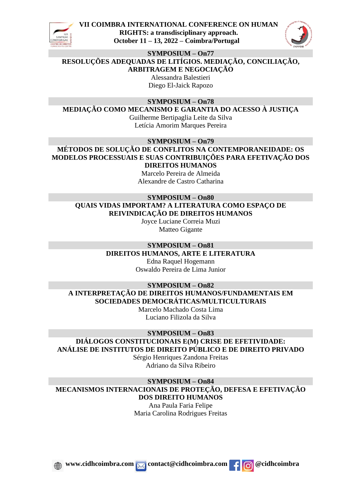



### **SYMPOSIUM – On77**

**RESOLUÇÕES ADEQUADAS DE LITÍGIOS. MEDIAÇÃO, CONCILIAÇÃO,** 

**ARBITRAGEM E NEGOCIAÇÃO**

Alessandra Balestieri Diego El-Jaick Rapozo

**SYMPOSIUM – On78**

**MEDIAÇÃO COMO MECANISMO E GARANTIA DO ACESSO À JUSTIÇA**

Guilherme Bertipaglia Leite da Silva Letícia Amorim Marques Pereira

**SYMPOSIUM – On79**

**MÉTODOS DE SOLUÇÃO DE CONFLITOS NA CONTEMPORANEIDADE: OS MODELOS PROCESSUAIS E SUAS CONTRIBUIÇÕES PARA EFETIVAÇÃO DOS DIREITOS HUMANOS**

> Marcelo Pereira de Almeida Alexandre de Castro Catharina

## **SYMPOSIUM – On80 QUAIS VIDAS IMPORTAM? A LITERATURA COMO ESPAÇO DE REIVINDICAÇÃO DE DIREITOS HUMANOS**

Joyce Luciane Correia Muzi Matteo Gigante

#### **SYMPOSIUM – On81 DIREITOS HUMANOS, ARTE E LITERATURA**

Edna Raquel Hogemann Oswaldo Pereira de Lima Junior

## **SYMPOSIUM – On82 A INTERPRETAÇÃO DE DIREITOS HUMANOS/FUNDAMENTAIS EM SOCIEDADES DEMOCRÁTICAS/MULTICULTURAIS**

Marcelo Machado Costa Lima Luciano Filizola da Silva

### **SYMPOSIUM – On83**

## **DIÁLOGOS CONSTITUCIONAIS E(M) CRISE DE EFETIVIDADE: ANÁLISE DE INSTITUTOS DE DIREITO PÚBLICO E DE DIREITO PRIVADO**

Sérgio Henriques Zandona Freitas Adriano da Silva Ribeiro

#### **SYMPOSIUM – On84 MECANISMOS INTERNACIONAIS DE PROTEÇÃO, DEFESA E EFETIVAÇÃO DOS DIREITO HUMANOS**

Ana Paula Faria Felipe Maria Carolina Rodrigues Freitas

*www.cidhcoimbra.com* <u>*M* contact@cidhcoimbra.com **f @**cidhcoimbra</u>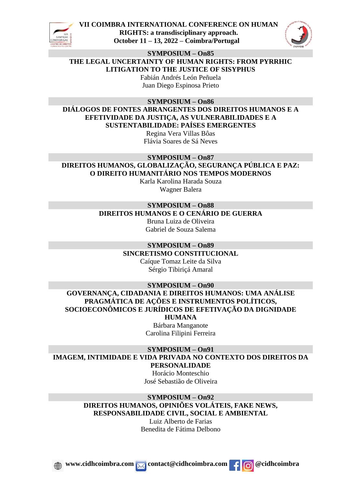



**SYMPOSIUM – On85**

**THE LEGAL UNCERTAINTY OF HUMAN RIGHTS: FROM PYRRHIC** 

**LITIGATION TO THE JUSTICE OF SISYPHUS** Fabián Andrés León Peñuela

Juan Diego Espinosa Prieto

**SYMPOSIUM – On86**

**DIÁLOGOS DE FONTES ABRANGENTES DOS DIREITOS HUMANOS E A EFETIVIDADE DA JUSTIÇA, AS VULNERABILIDADES E A SUSTENTABILIDADE: PAÍSES EMERGENTES**

Regina Vera Villas Bôas Flávia Soares de Sá Neves

**SYMPOSIUM – On87 DIREITOS HUMANOS, GLOBALIZAÇÃO, SEGURANÇA PÚBLICA E PAZ: O DIREITO HUMANITÁRIO NOS TEMPOS MODERNOS**

Karla Karolina Harada Souza Wagner Balera

## **SYMPOSIUM – On88**

**DIREITOS HUMANOS E O CENÁRIO DE GUERRA**

Bruna Luiza de Oliveira Gabriel de Souza Salema

**SYMPOSIUM – On89 SINCRETISMO CONSTITUCIONAL**

Caíque Tomaz Leite da Silva Sérgio Tibiriçá Amaral

**SYMPOSIUM – On90**

**GOVERNANÇA, CIDADANIA E DIREITOS HUMANOS: UMA ANÁLISE PRAGMÁTICA DE AÇÕES E INSTRUMENTOS POLÍTICOS, SOCIOECONÔMICOS E JURÍDICOS DE EFETIVAÇÃO DA DIGNIDADE** 

**HUMANA**

Bárbara Manganote Carolina Filipini Ferreira

**SYMPOSIUM – On91 IMAGEM, INTIMIDADE E VIDA PRIVADA NO CONTEXTO DOS DIREITOS DA PERSONALIDADE**

> Horácio Monteschio José Sebastião de Oliveira

## **SYMPOSIUM – On92 DIREITOS HUMANOS, OPINIÕES VOLÁTEIS, FAKE NEWS, RESPONSABILIDADE CIVIL, SOCIAL E AMBIENTAL**

Luiz Alberto de Farias Benedita de Fátima Delbono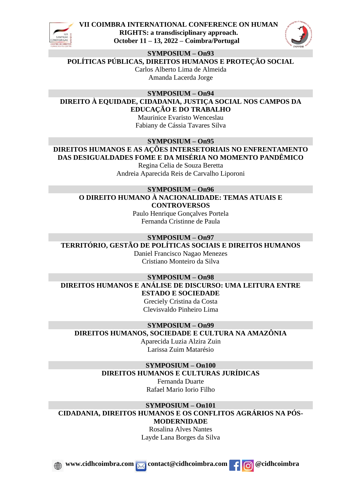



#### **SYMPOSIUM – On93**

**POLÍTICAS PÚBLICAS, DIREITOS HUMANOS E PROTEÇÃO SOCIAL**

Carlos Alberto Lima de Almeida Amanda Lacerda Jorge

**SYMPOSIUM – On94**

**DIREITO À EQUIDADE, CIDADANIA, JUSTIÇA SOCIAL NOS CAMPOS DA EDUCAÇÃO E DO TRABALHO**

Maurinice Evaristo Wenceslau Fabiany de Cássia Tavares Silva

**SYMPOSIUM – On95 DIREITOS HUMANOS E AS AÇÕES INTERSETORIAIS NO ENFRENTAMENTO** 

**DAS DESIGUALDADES FOME E DA MISÉRIA NO MOMENTO PANDÊMICO** Regina Celia de Souza Beretta Andreia Aparecida Reis de Carvalho Liporoni

## **SYMPOSIUM – On96 O DIREITO HUMANO À NACIONALIDADE: TEMAS ATUAIS E CONTROVERSOS**

Paulo Henrique Gonçalves Portela Fernanda Cristinne de Paula

## **SYMPOSIUM – On97 TERRITÓRIO, GESTÃO DE POLÍTICAS SOCIAIS E DIREITOS HUMANOS**

Daniel Francisco Nagao Menezes Cristiano Monteiro da Silva

**SYMPOSIUM – On98 DIREITOS HUMANOS E ANÁLISE DE DISCURSO: UMA LEITURA ENTRE ESTADO E SOCIEDADE**

Greciely Cristina da Costa Clevisvaldo Pinheiro Lima

## **SYMPOSIUM – On99**

**DIREITOS HUMANOS, SOCIEDADE E CULTURA NA AMAZÔNIA**

Aparecida Luzia Alzira Zuin Larissa Zuim Matarésio

## **SYMPOSIUM – On100**

## **DIREITOS HUMANOS E CULTURAS JURÍDICAS**

Fernanda Duarte Rafael Mario Iorio Filho

**SYMPOSIUM – On101 CIDADANIA, DIREITOS HUMANOS E OS CONFLITOS AGRÁRIOS NA PÓS-MODERNIDADE**

Rosalina Alves Nantes Layde Lana Borges da Silva

*<u>x* **www.cidhcoimbra.com** contact@cidhcoimbra.com contact@cidhcoimbra.com cidhcoimbra</u>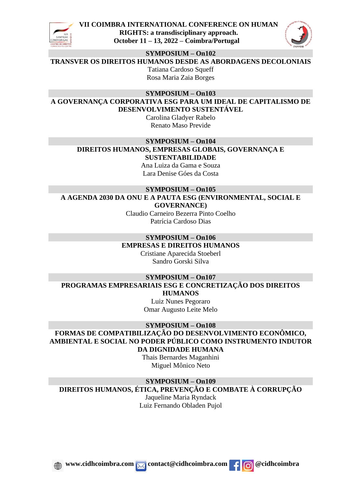



**SYMPOSIUM – On102**

**TRANSVER OS DIREITOS HUMANOS DESDE AS ABORDAGENS DECOLONIAIS**

Tatiana Cardoso Squeff Rosa Maria Zaia Borges

**SYMPOSIUM – On103**

**A GOVERNANÇA CORPORATIVA ESG PARA UM IDEAL DE CAPITALISMO DE DESENVOLVIMENTO SUSTENTÁVEL**

Carolina Gladyer Rabelo Renato Maso Previde

## **SYMPOSIUM – On104 DIREITOS HUMANOS, EMPRESAS GLOBAIS, GOVERNANÇA E SUSTENTABILIDADE**

Ana Luiza da Gama e Souza Lara Denise Góes da Costa

## **SYMPOSIUM – On105 A AGENDA 2030 DA ONU E A PAUTA ESG (ENVIRONMENTAL, SOCIAL E GOVERNANCE)**

Claudio Carneiro Bezerra Pinto Coelho Patrícia Cardoso Dias

#### **SYMPOSIUM – On106 EMPRESAS E DIREITOS HUMANOS**

Cristiane Aparecida Stoeberl Sandro Gorski Silva

**SYMPOSIUM – On107 PROGRAMAS EMPRESARIAIS ESG E CONCRETIZAÇÃO DOS DIREITOS HUMANOS**

> Luiz Nunes Pegoraro Omar Augusto Leite Melo

## **SYMPOSIUM – On108**

**FORMAS DE COMPATIBILIZAÇÃO DO DESENVOLVIMENTO ECONÔMICO, AMBIENTAL E SOCIAL NO PODER PÚBLICO COMO INSTRUMENTO INDUTOR DA DIGNIDADE HUMANA**

Thais Bernardes Maganhini Miguel Mônico Neto

**SYMPOSIUM – On109**

**DIREITOS HUMANOS, ÉTICA, PREVENÇÃO E COMBATE À CORRUPÇÃO**

Jaqueline Maria Ryndack Luiz Fernando Obladen Pujol

*www.cidhcoimbra.com* <u>*M* contact@cidhcoimbra.com **f @**cidhcoimbra</u>

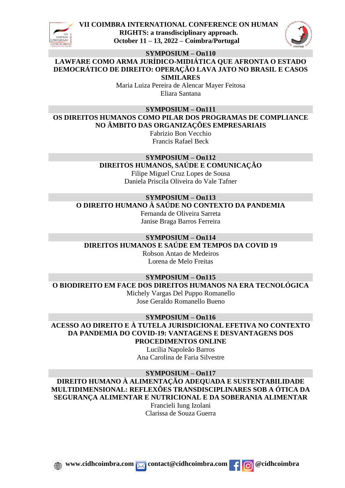



#### **SYMPOSIUM – On110**

**LAWFARE COMO ARMA JURÍDICO-MIDIÁTICA QUE AFRONTA O ESTADO DEMOCRÁTICO DE DIREITO: OPERAÇÃO LAVA JATO NO BRASIL E CASOS SIMILARES**

> Maria Luiza Pereira de Alencar Mayer Feitosa Eliara Santana

#### **SYMPOSIUM – On111**

**OS DIREITOS HUMANOS COMO PILAR DOS PROGRAMAS DE COMPLIANCE NO ÂMBITO DAS ORGANIZAÇÕES EMPRESARIAIS**

Fabrizio Bon Vecchio Francis Rafael Beck

## **SYMPOSIUM – On112**

**DIREITOS HUMANOS, SAÚDE E COMUNICAÇÃO**

Filipe Miguel Cruz Lopes de Sousa Daniela Priscila Oliveira do Vale Tafner

**SYMPOSIUM – On113**

**O DIREITO HUMANO À SAÚDE NO CONTEXTO DA PANDEMIA**

Fernanda de Oliveira Sarreta Janise Braga Barros Ferreira

## **SYMPOSIUM – On114 DIREITOS HUMANOS E SAÚDE EM TEMPOS DA COVID 19**

Robson Antao de Medeiros Lorena de Melo Freitas

## **SYMPOSIUM – On115 O BIODIREITO EM FACE DOS DIREITOS HUMANOS NA ERA TECNOLÓGICA**

Michely Vargas Del Puppo Romanello Jose Geraldo Romanello Bueno

#### **SYMPOSIUM – On116**

**ACESSO AO DIREITO E À TUTELA JURISDICIONAL EFETIVA NO CONTEXTO DA PANDEMIA DO COVID-19: VANTAGENS E DESVANTAGENS DOS PROCEDIMENTOS ONLINE**

> Lucília Napoleão Barros Ana Carolina de Faria Silvestre

**SYMPOSIUM – On117**

**DIREITO HUMANO À ALIMENTAÇÃO ADEQUADA E SUSTENTABILIDADE MULTIDIMENSIONAL: REFLEXÕES TRANSDISCIPLINARES SOB A ÓTICA DA SEGURANÇA ALIMENTAR E NUTRICIONAL E DA SOBERANIA ALIMENTAR** Francieli Iung Izolani

Clarissa de Souza Guerra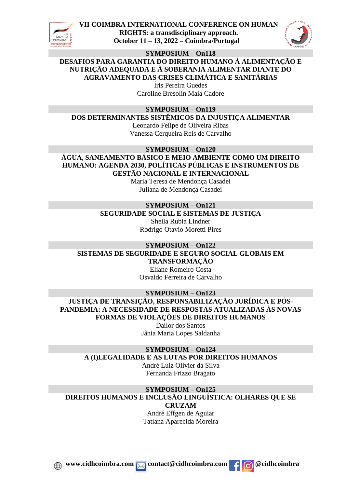



**SYMPOSIUM – On118**

**DESAFIOS PARA GARANTIA DO DIREITO HUMANO À ALIMENTAÇÃO E NUTRIÇÃO ADEQUADA E À SOBERANIA ALIMENTAR DIANTE DO AGRAVAMENTO DAS CRISES CLIMÁTICA E SANITÁRIAS**

> Íris Pereira Guedes Caroline Bresolin Maia Cadore

### **SYMPOSIUM – On119**

**DOS DETERMINANTES SISTÊMICOS DA INJUSTIÇA ALIMENTAR**

Leonardo Felipe de Oliveira Ribas Vanessa Cerqueira Reis de Carvalho

**SYMPOSIUM – On120**

**ÁGUA, SANEAMENTO BÁSICO E MEIO AMBIENTE COMO UM DIREITO HUMANO: AGENDA 2030, POLÍTICAS PÚBLICAS E INSTRUMENTOS DE GESTÃO NACIONAL E INTERNACIONAL**

> Maria Teresa de Mendonça Casadei Juliana de Mendonça Casadei

## **SYMPOSIUM – On121**

**SEGURIDADE SOCIAL E SISTEMAS DE JUSTIÇA** Sheila Rubia Lindner Rodrigo Otavio Moretti Pires

#### **SYMPOSIUM – On122 SISTEMAS DE SEGURIDADE E SEGURO SOCIAL GLOBAIS EM TRANSFORMAÇÃO**

Eliane Romeiro Costa Osvaldo Ferreira de Carvalho

**SYMPOSIUM – On123 JUSTIÇA DE TRANSIÇÃO, RESPONSABILIZAÇÃO JURÍDICA E PÓS-PANDEMIA: A NECESSIDADE DE RESPOSTAS ATUALIZADAS ÀS NOVAS FORMAS DE VIOLAÇÕES DE DIREITOS HUMANOS**

Dailor dos Santos Jânia Maria Lopes Saldanha

#### **SYMPOSIUM – On124 A (I)LEGALIDADE E AS LUTAS POR DIREITOS HUMANOS**

André Luiz Olivier da Silva Fernanda Frizzo Bragato

## **SYMPOSIUM – On125**

**DIREITOS HUMANOS E INCLUSÃO LINGUÍSTICA: OLHARES QUE SE** 

**CRUZAM**

André Effgen de Aguiar Tatiana Aparecida Moreira